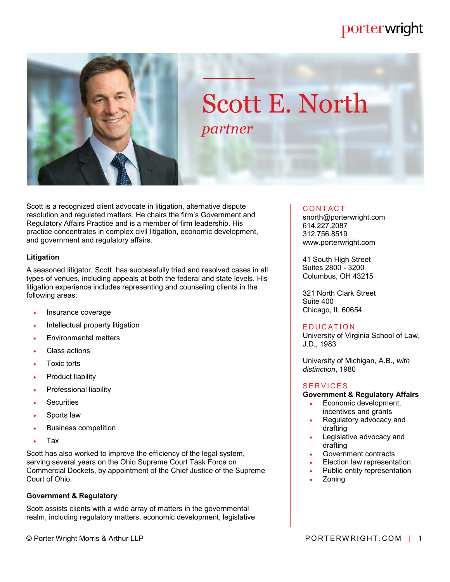# porterwright



# Scott E. North *partner*

Scott is a recognized client advocate in litigation, alternative dispute resolution and regulated matters. He chairs the firm's Government and Regulatory Affairs Practice and is a member of firm leadership. His practice concentrates in complex civil litigation, economic development, and government and regulatory affairs.

#### **Litigation**

A seasoned litigator, Scott has successfully tried and resolved cases in all types of venues, including appeals at both the federal and state levels. His litigation experience includes representing and counseling clients in the following areas:

- Insurance coverage
- Intellectual property litigation
- Environmental matters
- Class actions
- Toxic torts
- Product liability
- Professional liability
- **Securities**
- Sports law
- Business competition
- Tax

Scott has also worked to improve the efficiency of the legal system, serving several years on the Ohio Supreme Court Task Force on Commercial Dockets, by appointment of the Chief Justice of the Supreme Court of Ohio.

### **Government & Regulatory**

Scott assists clients with a wide array of matters in the governmental realm, including regulatory matters, economic development, legislative

#### **CONTACT**

snorth@porterwright.com 614.227.2087 312.756.8519 www.porterwright.com

41 South High Street Suites 2800 - 3200 Columbus, OH 43215

321 North Clark Street Suite 400 Chicago, IL 60654

#### **EDUCATION**

University of Virginia School of Law, J.D., 1983

University of Michigan, A.B., *with distinction*, 1980

#### **SFRVICES**

#### **Government & Regulatory Affairs**

- Economic development, incentives and grants
- Regulatory advocacy and drafting
- Legislative advocacy and drafting
- Government contracts
- Election law representation
- Public entity representation
- Zoning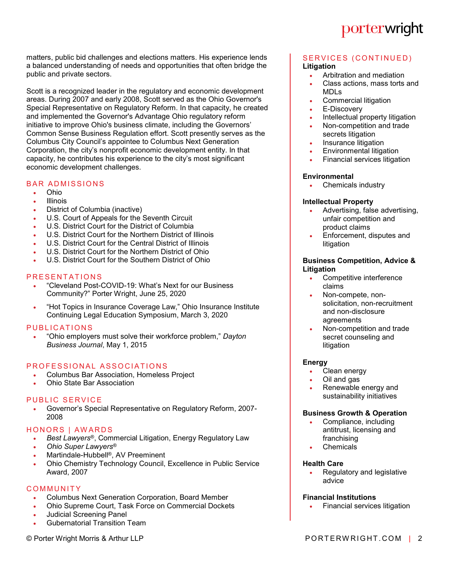

matters, public bid challenges and elections matters. His experience lends a balanced understanding of needs and opportunities that often bridge the public and private sectors.

Scott is a recognized leader in the regulatory and economic development areas. During 2007 and early 2008, Scott served as the Ohio Governor's Special Representative on Regulatory Reform. In that capacity, he created and implemented the Governor's Advantage Ohio regulatory reform initiative to improve Ohio's business climate, including the Governors' Common Sense Business Regulation effort. Scott presently serves as the Columbus City Council's appointee to Columbus Next Generation Corporation, the city's nonprofit economic development entity. In that capacity, he contributes his experience to the city's most significant economic development challenges.

## **BAR ADMISSIONS**

- Ohio
- Illinois
- District of Columbia (inactive)
- U.S. Court of Appeals for the Seventh Circuit
- U.S. District Court for the District of Columbia
- U.S. District Court for the Northern District of Illinois
- U.S. District Court for the Central District of Illinois
- U.S. District Court for the Northern District of Ohio
- U.S. District Court for the Southern District of Ohio

#### PRESENTATIONS

- "Cleveland Post-COVID-19: What's Next for our Business Community?" Porter Wright, June 25, 2020
- "Hot Topics in Insurance Coverage Law," Ohio Insurance Institute Continuing Legal Education Symposium, March 3, 2020

#### PUBLICATIONS

 "Ohio employers must solve their workforce problem," *Dayton Business Journal*, May 1, 2015

#### PROFESSIONAL ASSOCIATIONS

- Columbus Bar Association, Homeless Project
- Ohio State Bar Association

#### PUBLIC SERVICE

 Governor's Special Representative on Regulatory Reform, 2007- 2008

#### HONORS | AWARDS

- *Best Lawyers*®, Commercial Litigation, Energy Regulatory Law
- *Ohio Super Lawyers*®
- Martindale-Hubbell®, AV Preeminent
- Ohio Chemistry Technology Council, Excellence in Public Service Award, 2007

#### **COMMUNITY**

- Columbus Next Generation Corporation, Board Member
- Ohio Supreme Court, Task Force on Commercial Dockets
- Judicial Screening Panel
- Gubernatorial Transition Team

# SERVICES (CONTINUED)

- **Litigation**
	- Arbitration and mediation
	- Class actions, mass torts and MDLs
	- Commercial litigation
	- E-Discovery
	- Intellectual property litigation
	- Non-competition and trade secrets litigation
	- Insurance litigation
	- Environmental litigation
	- Financial services litigation

#### **Environmental**

• Chemicals industry

#### **Intellectual Property**

- Advertising, false advertising, unfair competition and product claims
- Enforcement, disputes and litigation

#### **Business Competition, Advice & Litigation**

- Competitive interference claims
- Non-compete, nonsolicitation, non-recruitment and non-disclosure agreements
- Non-competition and trade secret counseling and litigation

#### **Energy**

- Clean energy
- Oil and gas
- Renewable energy and sustainability initiatives

#### **Business Growth & Operation**

- Compliance, including antitrust, licensing and franchising
- Chemicals

#### **Health Care**

 Regulatory and legislative advice

#### **Financial Institutions**

Financial services litigation